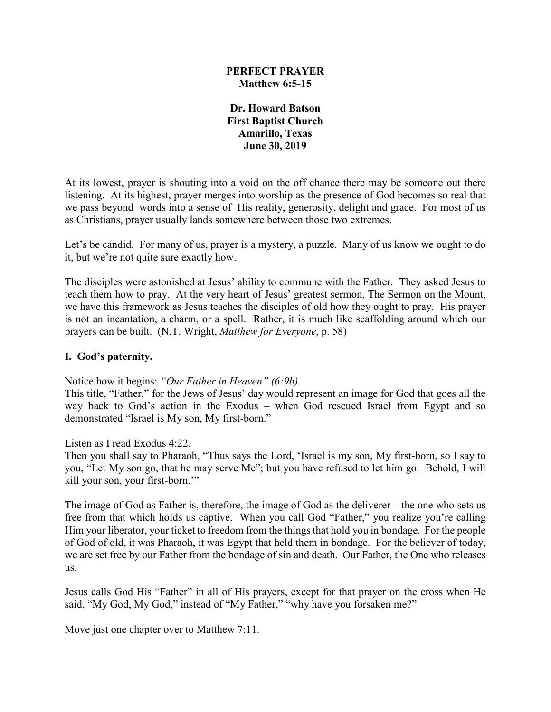## **PERFECT PRAYER Matthew 6:5-15**

**Dr. Howard Batson First Baptist Church Amarillo, Texas June 30, 2019**

At its lowest, prayer is shouting into a void on the off chance there may be someone out there listening. At its highest, prayer merges into worship as the presence of God becomes so real that we pass beyond words into a sense of His reality, generosity, delight and grace. For most of us as Christians, prayer usually lands somewhere between those two extremes.

Let's be candid. For many of us, prayer is a mystery, a puzzle. Many of us know we ought to do it, but we're not quite sure exactly how.

The disciples were astonished at Jesus' ability to commune with the Father. They asked Jesus to teach them how to pray. At the very heart of Jesus' greatest sermon, The Sermon on the Mount, we have this framework as Jesus teaches the disciples of old how they ought to pray. His prayer is not an incantation, a charm, or a spell. Rather, it is much like scaffolding around which our prayers can be built. (N.T. Wright, *Matthew for Everyone*, p. 58)

#### **I. God's paternity.**

Notice how it begins: *"Our Father in Heaven" (6:9b).*

This title, "Father," for the Jews of Jesus' day would represent an image for God that goes all the way back to God's action in the Exodus – when God rescued Israel from Egypt and so demonstrated "Israel is My son, My first-born."

#### Listen as I read Exodus 4:22.

Then you shall say to Pharaoh, "Thus says the Lord, 'Israel is my son, My first-born, so I say to you, "Let My son go, that he may serve Me"; but you have refused to let him go. Behold, I will kill your son, your first-born.'"

The image of God as Father is, therefore, the image of God as the deliverer – the one who sets us free from that which holds us captive. When you call God "Father," you realize you're calling Him your liberator, your ticket to freedom from the things that hold you in bondage. For the people of God of old, it was Pharaoh, it was Egypt that held them in bondage. For the believer of today, we are set free by our Father from the bondage of sin and death. Our Father, the One who releases us.

Jesus calls God His "Father" in all of His prayers, except for that prayer on the cross when He said, "My God, My God," instead of "My Father," "why have you forsaken me?"

Move just one chapter over to Matthew 7:11.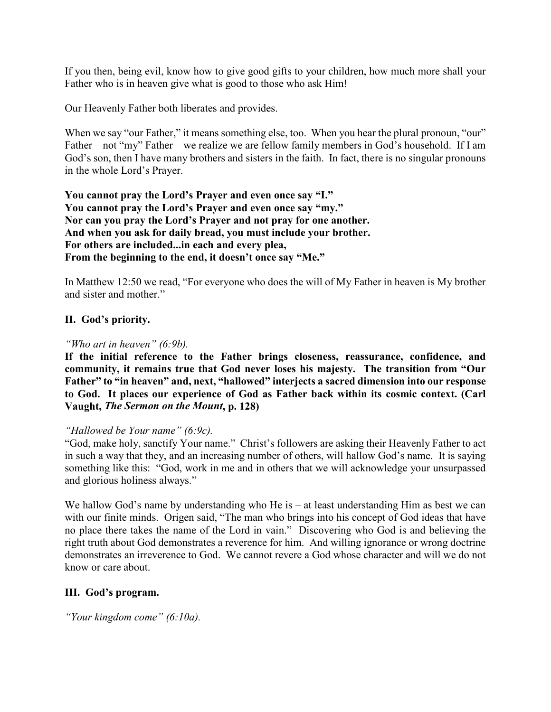If you then, being evil, know how to give good gifts to your children, how much more shall your Father who is in heaven give what is good to those who ask Him!

Our Heavenly Father both liberates and provides.

When we say "our Father," it means something else, too. When you hear the plural pronoun, "our" Father – not "my" Father – we realize we are fellow family members in God's household. If I am God's son, then I have many brothers and sisters in the faith. In fact, there is no singular pronouns in the whole Lord's Prayer.

**You cannot pray the Lord's Prayer and even once say "I." You cannot pray the Lord's Prayer and even once say "my." Nor can you pray the Lord's Prayer and not pray for one another. And when you ask for daily bread, you must include your brother. For others are included...in each and every plea, From the beginning to the end, it doesn't once say "Me."**

In Matthew 12:50 we read, "For everyone who does the will of My Father in heaven is My brother and sister and mother."

# **II. God's priority.**

#### *"Who art in heaven" (6:9b).*

**If the initial reference to the Father brings closeness, reassurance, confidence, and community, it remains true that God never loses his majesty. The transition from "Our Father" to "in heaven" and, next, "hallowed" interjects a sacred dimension into our response to God. It places our experience of God as Father back within its cosmic context. (Carl Vaught,** *The Sermon on the Mount***, p. 128)**

#### *"Hallowed be Your name" (6:9c).*

"God, make holy, sanctify Your name." Christ's followers are asking their Heavenly Father to act in such a way that they, and an increasing number of others, will hallow God's name. It is saying something like this: "God, work in me and in others that we will acknowledge your unsurpassed and glorious holiness always."

We hallow God's name by understanding who He is – at least understanding Him as best we can with our finite minds. Origen said, "The man who brings into his concept of God ideas that have no place there takes the name of the Lord in vain." Discovering who God is and believing the right truth about God demonstrates a reverence for him. And willing ignorance or wrong doctrine demonstrates an irreverence to God. We cannot revere a God whose character and will we do not know or care about.

#### **III. God's program.**

*"Your kingdom come" (6:10a).*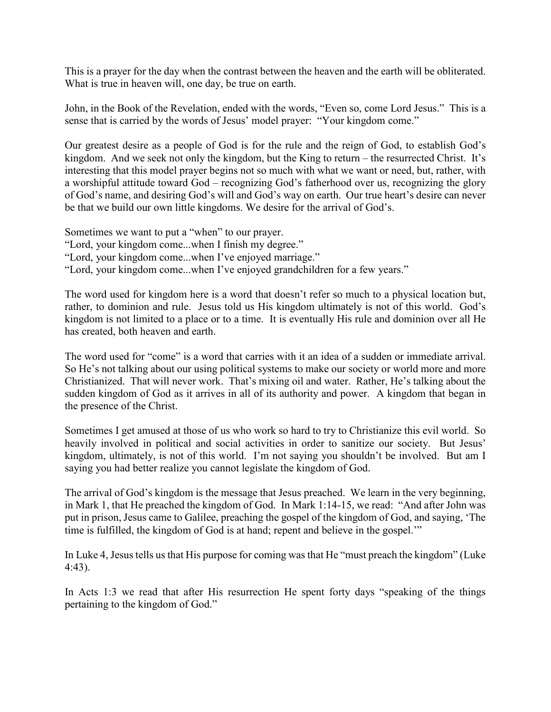This is a prayer for the day when the contrast between the heaven and the earth will be obliterated. What is true in heaven will, one day, be true on earth.

John, in the Book of the Revelation, ended with the words, "Even so, come Lord Jesus." This is a sense that is carried by the words of Jesus' model prayer: "Your kingdom come."

Our greatest desire as a people of God is for the rule and the reign of God, to establish God's kingdom. And we seek not only the kingdom, but the King to return – the resurrected Christ. It's interesting that this model prayer begins not so much with what we want or need, but, rather, with a worshipful attitude toward God – recognizing God's fatherhood over us, recognizing the glory of God's name, and desiring God's will and God's way on earth. Our true heart's desire can never be that we build our own little kingdoms. We desire for the arrival of God's.

- Sometimes we want to put a "when" to our prayer. "Lord, your kingdom come...when I finish my degree."
- "Lord, your kingdom come...when I've enjoyed marriage."
- "Lord, your kingdom come...when I've enjoyed grandchildren for a few years."

The word used for kingdom here is a word that doesn't refer so much to a physical location but, rather, to dominion and rule. Jesus told us His kingdom ultimately is not of this world. God's kingdom is not limited to a place or to a time. It is eventually His rule and dominion over all He has created, both heaven and earth.

The word used for "come" is a word that carries with it an idea of a sudden or immediate arrival. So He's not talking about our using political systems to make our society or world more and more Christianized. That will never work. That's mixing oil and water. Rather, He's talking about the sudden kingdom of God as it arrives in all of its authority and power. A kingdom that began in the presence of the Christ.

Sometimes I get amused at those of us who work so hard to try to Christianize this evil world. So heavily involved in political and social activities in order to sanitize our society. But Jesus' kingdom, ultimately, is not of this world. I'm not saying you shouldn't be involved. But am I saying you had better realize you cannot legislate the kingdom of God.

The arrival of God's kingdom is the message that Jesus preached. We learn in the very beginning, in Mark 1, that He preached the kingdom of God. In Mark 1:14-15, we read: "And after John was put in prison, Jesus came to Galilee, preaching the gospel of the kingdom of God, and saying, 'The time is fulfilled, the kingdom of God is at hand; repent and believe in the gospel.'"

In Luke 4, Jesus tells us that His purpose for coming was that He "must preach the kingdom" (Luke 4:43).

In Acts 1:3 we read that after His resurrection He spent forty days "speaking of the things pertaining to the kingdom of God."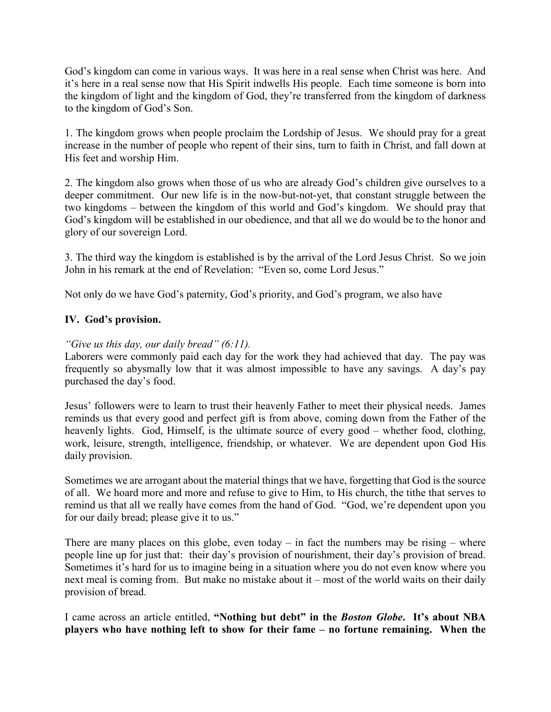God's kingdom can come in various ways. It was here in a real sense when Christ was here. And it's here in a real sense now that His Spirit indwells His people. Each time someone is born into the kingdom of light and the kingdom of God, they're transferred from the kingdom of darkness to the kingdom of God's Son.

1. The kingdom grows when people proclaim the Lordship of Jesus. We should pray for a great increase in the number of people who repent of their sins, turn to faith in Christ, and fall down at His feet and worship Him.

2. The kingdom also grows when those of us who are already God's children give ourselves to a deeper commitment. Our new life is in the now-but-not-yet, that constant struggle between the two kingdoms – between the kingdom of this world and God's kingdom. We should pray that God's kingdom will be established in our obedience, and that all we do would be to the honor and glory of our sovereign Lord.

3. The third way the kingdom is established is by the arrival of the Lord Jesus Christ. So we join John in his remark at the end of Revelation: "Even so, come Lord Jesus."

Not only do we have God's paternity, God's priority, and God's program, we also have

# **IV. God's provision.**

# *"Give us this day, our daily bread" (6:11).*

Laborers were commonly paid each day for the work they had achieved that day. The pay was frequently so abysmally low that it was almost impossible to have any savings. A day's pay purchased the day's food.

Jesus' followers were to learn to trust their heavenly Father to meet their physical needs. James reminds us that every good and perfect gift is from above, coming down from the Father of the heavenly lights. God, Himself, is the ultimate source of every good – whether food, clothing, work, leisure, strength, intelligence, friendship, or whatever. We are dependent upon God His daily provision.

Sometimes we are arrogant about the material things that we have, forgetting that God is the source of all. We hoard more and more and refuse to give to Him, to His church, the tithe that serves to remind us that all we really have comes from the hand of God. "God, we're dependent upon you for our daily bread; please give it to us."

There are many places on this globe, even today – in fact the numbers may be rising – where people line up for just that: their day's provision of nourishment, their day's provision of bread. Sometimes it's hard for us to imagine being in a situation where you do not even know where you next meal is coming from. But make no mistake about it – most of the world waits on their daily provision of bread.

I came across an article entitled, **"Nothing but debt" in the** *Boston Globe***. It's about NBA players who have nothing left to show for their fame – no fortune remaining. When the**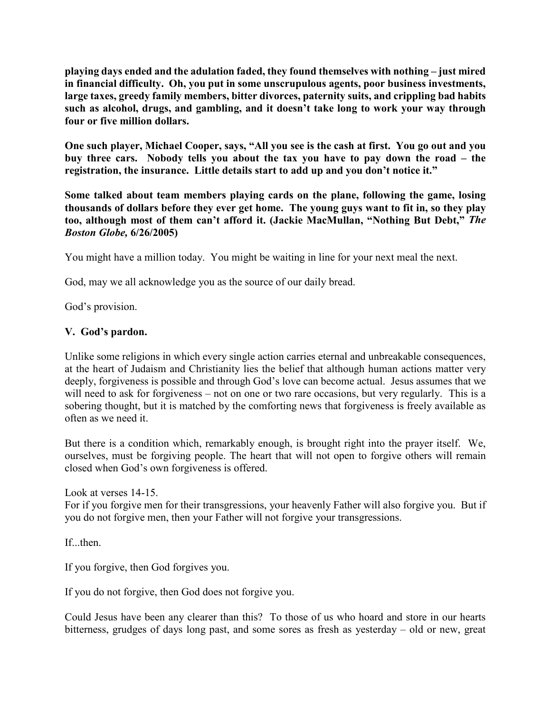**playing days ended and the adulation faded, they found themselves with nothing – just mired in financial difficulty. Oh, you put in some unscrupulous agents, poor business investments, large taxes, greedy family members, bitter divorces, paternity suits, and crippling bad habits such as alcohol, drugs, and gambling, and it doesn't take long to work your way through four or five million dollars.**

**One such player, Michael Cooper, says, "All you see is the cash at first. You go out and you buy three cars. Nobody tells you about the tax you have to pay down the road – the registration, the insurance. Little details start to add up and you don't notice it."**

**Some talked about team members playing cards on the plane, following the game, losing thousands of dollars before they ever get home. The young guys want to fit in, so they play too, although most of them can't afford it. (Jackie MacMullan, "Nothing But Debt,"** *The Boston Globe,* **6/26/2005)**

You might have a million today. You might be waiting in line for your next meal the next.

God, may we all acknowledge you as the source of our daily bread.

God's provision.

## **V. God's pardon.**

Unlike some religions in which every single action carries eternal and unbreakable consequences, at the heart of Judaism and Christianity lies the belief that although human actions matter very deeply, forgiveness is possible and through God's love can become actual. Jesus assumes that we will need to ask for forgiveness – not on one or two rare occasions, but very regularly. This is a sobering thought, but it is matched by the comforting news that forgiveness is freely available as often as we need it.

But there is a condition which, remarkably enough, is brought right into the prayer itself. We, ourselves, must be forgiving people. The heart that will not open to forgive others will remain closed when God's own forgiveness is offered.

Look at verses 14-15.

For if you forgive men for their transgressions, your heavenly Father will also forgive you. But if you do not forgive men, then your Father will not forgive your transgressions.

If...then.

If you forgive, then God forgives you.

If you do not forgive, then God does not forgive you.

Could Jesus have been any clearer than this? To those of us who hoard and store in our hearts bitterness, grudges of days long past, and some sores as fresh as yesterday – old or new, great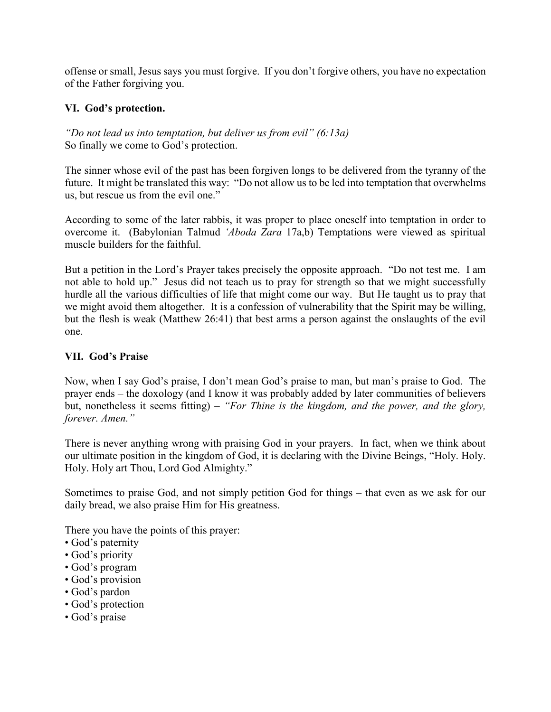offense or small, Jesus says you must forgive. If you don't forgive others, you have no expectation of the Father forgiving you.

## **VI. God's protection.**

*"Do not lead us into temptation, but deliver us from evil" (6:13a)* So finally we come to God's protection.

The sinner whose evil of the past has been forgiven longs to be delivered from the tyranny of the future. It might be translated this way: "Do not allow us to be led into temptation that overwhelms us, but rescue us from the evil one."

According to some of the later rabbis, it was proper to place oneself into temptation in order to overcome it. (Babylonian Talmud *'Aboda Zara* 17a,b) Temptations were viewed as spiritual muscle builders for the faithful.

But a petition in the Lord's Prayer takes precisely the opposite approach. "Do not test me. I am not able to hold up." Jesus did not teach us to pray for strength so that we might successfully hurdle all the various difficulties of life that might come our way. But He taught us to pray that we might avoid them altogether. It is a confession of vulnerability that the Spirit may be willing, but the flesh is weak (Matthew 26:41) that best arms a person against the onslaughts of the evil one.

### **VII. God's Praise**

Now, when I say God's praise, I don't mean God's praise to man, but man's praise to God. The prayer ends – the doxology (and I know it was probably added by later communities of believers but, nonetheless it seems fitting) – *"For Thine is the kingdom, and the power, and the glory, forever. Amen."*

There is never anything wrong with praising God in your prayers. In fact, when we think about our ultimate position in the kingdom of God, it is declaring with the Divine Beings, "Holy. Holy. Holy. Holy art Thou, Lord God Almighty."

Sometimes to praise God, and not simply petition God for things – that even as we ask for our daily bread, we also praise Him for His greatness.

There you have the points of this prayer:

- God's paternity
- God's priority
- God's program
- God's provision
- God's pardon
- God's protection
- God's praise